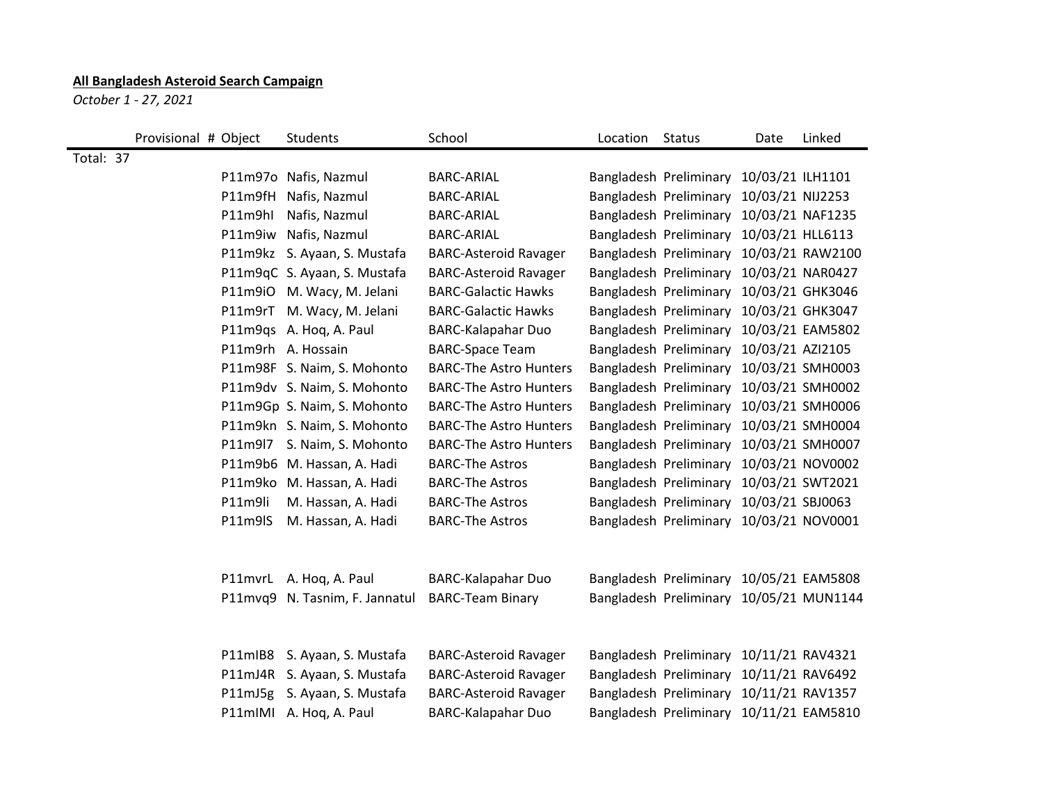## **All Bangladesh Asteroid Search Campaign**

*October 1 - 27, 2021*

|           | Provisional # Object |         | Students                       | School                        | Location | Status                                  | Date | Linked |
|-----------|----------------------|---------|--------------------------------|-------------------------------|----------|-----------------------------------------|------|--------|
| Total: 37 |                      |         |                                |                               |          |                                         |      |        |
|           |                      |         | P11m97o Nafis, Nazmul          | <b>BARC-ARIAL</b>             |          | Bangladesh Preliminary 10/03/21 ILH1101 |      |        |
|           |                      | P11m9fH | Nafis, Nazmul                  | <b>BARC-ARIAL</b>             |          | Bangladesh Preliminary 10/03/21 NIJ2253 |      |        |
|           |                      | P11m9hl | Nafis, Nazmul                  | <b>BARC-ARIAL</b>             |          | Bangladesh Preliminary 10/03/21 NAF1235 |      |        |
|           |                      | P11m9iw | Nafis, Nazmul                  | <b>BARC-ARIAL</b>             |          | Bangladesh Preliminary 10/03/21 HLL6113 |      |        |
|           |                      |         | P11m9kz S. Ayaan, S. Mustafa   | <b>BARC-Asteroid Ravager</b>  |          | Bangladesh Preliminary 10/03/21 RAW2100 |      |        |
|           |                      |         | P11m9qC S. Ayaan, S. Mustafa   | <b>BARC-Asteroid Ravager</b>  |          | Bangladesh Preliminary 10/03/21 NAR0427 |      |        |
|           |                      |         | P11m9iO M. Wacy, M. Jelani     | <b>BARC-Galactic Hawks</b>    |          | Bangladesh Preliminary 10/03/21 GHK3046 |      |        |
|           |                      |         | P11m9rT M. Wacy, M. Jelani     | <b>BARC-Galactic Hawks</b>    |          | Bangladesh Preliminary 10/03/21 GHK3047 |      |        |
|           |                      |         | P11m9qs A. Hoq, A. Paul        | <b>BARC-Kalapahar Duo</b>     |          | Bangladesh Preliminary 10/03/21 EAM5802 |      |        |
|           |                      |         | P11m9rh A. Hossain             | <b>BARC-Space Team</b>        |          | Bangladesh Preliminary 10/03/21 AZI2105 |      |        |
|           |                      |         | P11m98F S. Naim, S. Mohonto    | <b>BARC-The Astro Hunters</b> |          | Bangladesh Preliminary 10/03/21 SMH0003 |      |        |
|           |                      |         | P11m9dv S. Naim, S. Mohonto    | <b>BARC-The Astro Hunters</b> |          | Bangladesh Preliminary 10/03/21 SMH0002 |      |        |
|           |                      |         | P11m9Gp S. Naim, S. Mohonto    | <b>BARC-The Astro Hunters</b> |          | Bangladesh Preliminary 10/03/21 SMH0006 |      |        |
|           |                      |         | P11m9kn S. Naim, S. Mohonto    | <b>BARC-The Astro Hunters</b> |          | Bangladesh Preliminary 10/03/21 SMH0004 |      |        |
|           |                      |         | P11m9l7 S. Naim, S. Mohonto    | <b>BARC-The Astro Hunters</b> |          | Bangladesh Preliminary 10/03/21 SMH0007 |      |        |
|           |                      |         | P11m9b6 M. Hassan, A. Hadi     | <b>BARC-The Astros</b>        |          | Bangladesh Preliminary 10/03/21 NOV0002 |      |        |
|           |                      |         | P11m9ko M. Hassan, A. Hadi     | <b>BARC-The Astros</b>        |          | Bangladesh Preliminary 10/03/21 SWT2021 |      |        |
|           |                      | P11m9li | M. Hassan, A. Hadi             | <b>BARC-The Astros</b>        |          | Bangladesh Preliminary 10/03/21 SBJ0063 |      |        |
|           |                      | P11m9IS | M. Hassan, A. Hadi             | <b>BARC-The Astros</b>        |          | Bangladesh Preliminary 10/03/21 NOV0001 |      |        |
|           |                      |         |                                |                               |          |                                         |      |        |
|           |                      |         | P11mvrL A. Hoq, A. Paul        | <b>BARC-Kalapahar Duo</b>     |          | Bangladesh Preliminary 10/05/21 EAM5808 |      |        |
|           |                      |         | P11mvq9 N. Tasnim, F. Jannatul | <b>BARC-Team Binary</b>       |          | Bangladesh Preliminary 10/05/21 MUN1144 |      |        |
|           |                      |         |                                |                               |          |                                         |      |        |
|           |                      |         | P11mIB8 S. Ayaan, S. Mustafa   | <b>BARC-Asteroid Ravager</b>  |          | Bangladesh Preliminary 10/11/21 RAV4321 |      |        |
|           |                      |         | P11mJ4R S. Ayaan, S. Mustafa   | <b>BARC-Asteroid Ravager</b>  |          | Bangladesh Preliminary 10/11/21 RAV6492 |      |        |
|           |                      |         | P11mJ5g S. Ayaan, S. Mustafa   | <b>BARC-Asteroid Ravager</b>  |          | Bangladesh Preliminary 10/11/21 RAV1357 |      |        |
|           |                      |         | P11mlMl A. Hoq, A. Paul        | <b>BARC-Kalapahar Duo</b>     |          | Bangladesh Preliminary 10/11/21 EAM5810 |      |        |
|           |                      |         |                                |                               |          |                                         |      |        |